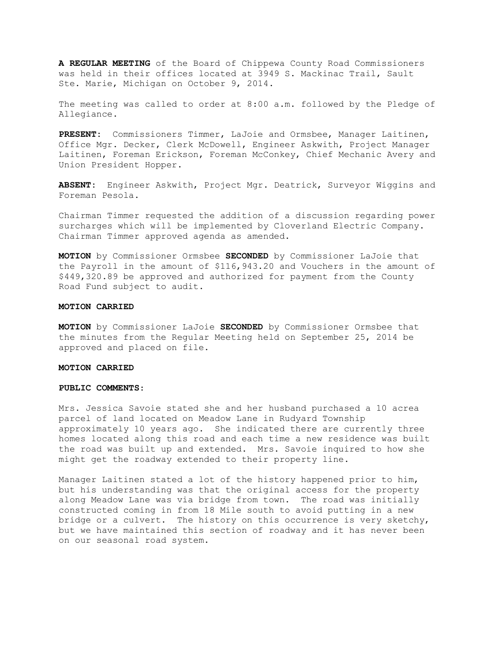**A REGULAR MEETING** of the Board of Chippewa County Road Commissioners was held in their offices located at 3949 S. Mackinac Trail, Sault Ste. Marie, Michigan on October 9, 2014.

The meeting was called to order at 8:00 a.m. followed by the Pledge of Allegiance.

**PRESENT:** Commissioners Timmer, LaJoie and Ormsbee, Manager Laitinen, Office Mgr. Decker, Clerk McDowell, Engineer Askwith, Project Manager Laitinen, Foreman Erickson, Foreman McConkey, Chief Mechanic Avery and Union President Hopper.

**ABSENT:** Engineer Askwith, Project Mgr. Deatrick, Surveyor Wiggins and Foreman Pesola.

Chairman Timmer requested the addition of a discussion regarding power surcharges which will be implemented by Cloverland Electric Company. Chairman Timmer approved agenda as amended.

**MOTION** by Commissioner Ormsbee **SECONDED** by Commissioner LaJoie that the Payroll in the amount of \$116,943.20 and Vouchers in the amount of \$449,320.89 be approved and authorized for payment from the County Road Fund subject to audit.

#### **MOTION CARRIED**

**MOTION** by Commissioner LaJoie **SECONDED** by Commissioner Ormsbee that the minutes from the Regular Meeting held on September 25, 2014 be approved and placed on file.

#### **MOTION CARRIED**

### **PUBLIC COMMENTS**:

Mrs. Jessica Savoie stated she and her husband purchased a 10 acrea parcel of land located on Meadow Lane in Rudyard Township approximately 10 years ago. She indicated there are currently three homes located along this road and each time a new residence was built the road was built up and extended. Mrs. Savoie inquired to how she might get the roadway extended to their property line.

Manager Laitinen stated a lot of the history happened prior to him, but his understanding was that the original access for the property along Meadow Lane was via bridge from town. The road was initially constructed coming in from 18 Mile south to avoid putting in a new bridge or a culvert. The history on this occurrence is very sketchy, but we have maintained this section of roadway and it has never been on our seasonal road system.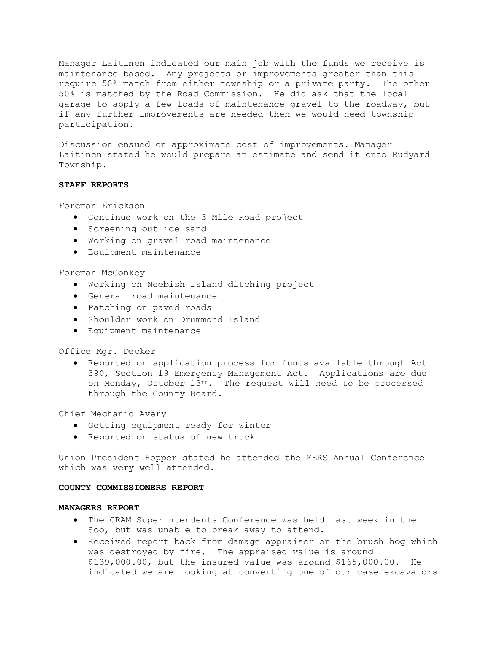Manager Laitinen indicated our main job with the funds we receive is maintenance based. Any projects or improvements greater than this require 50% match from either township or a private party. The other 50% is matched by the Road Commission. He did ask that the local garage to apply a few loads of maintenance gravel to the roadway, but if any further improvements are needed then we would need township participation.

Discussion ensued on approximate cost of improvements. Manager Laitinen stated he would prepare an estimate and send it onto Rudyard Township.

# **STAFF REPORTS**

Foreman Erickson

- · Continue work on the 3 Mile Road project
- · Screening out ice sand
- · Working on gravel road maintenance
- · Equipment maintenance

### Foreman McConkey

- · Working on Neebish Island ditching project
- · General road maintenance
- · Patching on paved roads
- · Shoulder work on Drummond Island
- · Equipment maintenance

Office Mgr. Decker

· Reported on application process for funds available through Act 390, Section 19 Emergency Management Act. Applications are due on Monday, October 13th. The request will need to be processed through the County Board.

Chief Mechanic Avery

- · Getting equipment ready for winter
- · Reported on status of new truck

Union President Hopper stated he attended the MERS Annual Conference which was very well attended.

### **COUNTY COMMISSIONERS REPORT**

### **MANAGERS REPORT**

- · The CRAM Superintendents Conference was held last week in the Soo, but was unable to break away to attend.
- · Received report back from damage appraiser on the brush hog which was destroyed by fire. The appraised value is around \$139,000.00, but the insured value was around \$165,000.00. He indicated we are looking at converting one of our case excavators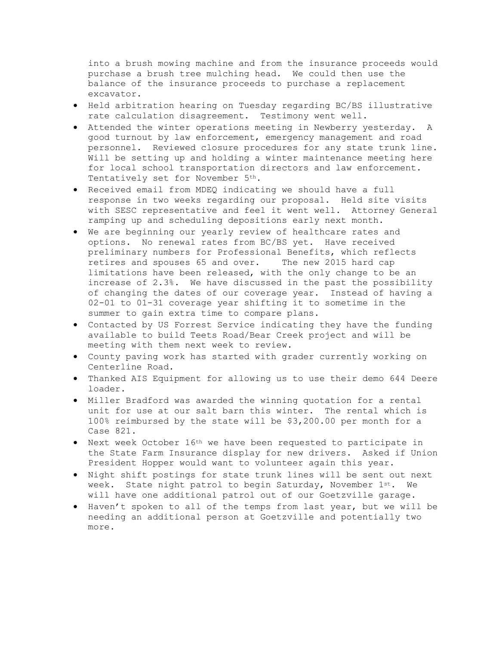into a brush mowing machine and from the insurance proceeds would purchase a brush tree mulching head. We could then use the balance of the insurance proceeds to purchase a replacement excavator.

- · Held arbitration hearing on Tuesday regarding BC/BS illustrative rate calculation disagreement. Testimony went well.
- · Attended the winter operations meeting in Newberry yesterday. A good turnout by law enforcement, emergency management and road personnel. Reviewed closure procedures for any state trunk line. Will be setting up and holding a winter maintenance meeting here for local school transportation directors and law enforcement. Tentatively set for November 5th.
- · Received email from MDEQ indicating we should have a full response in two weeks regarding our proposal. Held site visits with SESC representative and feel it went well. Attorney General ramping up and scheduling depositions early next month.
- · We are beginning our yearly review of healthcare rates and options. No renewal rates from BC/BS yet. Have received preliminary numbers for Professional Benefits, which reflects retires and spouses 65 and over. The new 2015 hard cap limitations have been released, with the only change to be an increase of 2.3%. We have discussed in the past the possibility of changing the dates of our coverage year. Instead of having a 02-01 to 01-31 coverage year shifting it to sometime in the summer to gain extra time to compare plans.
- · Contacted by US Forrest Service indicating they have the funding available to build Teets Road/Bear Creek project and will be meeting with them next week to review.
- · County paving work has started with grader currently working on Centerline Road.
- · Thanked AIS Equipment for allowing us to use their demo 644 Deere loader.
- · Miller Bradford was awarded the winning quotation for a rental unit for use at our salt barn this winter. The rental which is 100% reimbursed by the state will be \$3,200.00 per month for a Case 821.
- · Next week October 16th we have been requested to participate in the State Farm Insurance display for new drivers. Asked if Union President Hopper would want to volunteer again this year.
- · Night shift postings for state trunk lines will be sent out next week. State night patrol to begin Saturday, November 1st. We will have one additional patrol out of our Goetzville garage.
- · Haven't spoken to all of the temps from last year, but we will be needing an additional person at Goetzville and potentially two more.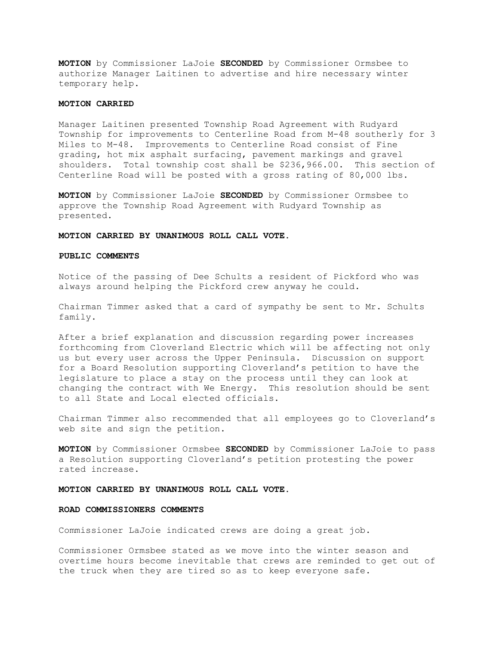**MOTION** by Commissioner LaJoie **SECONDED** by Commissioner Ormsbee to authorize Manager Laitinen to advertise and hire necessary winter temporary help.

## **MOTION CARRIED**

Manager Laitinen presented Township Road Agreement with Rudyard Township for improvements to Centerline Road from M-48 southerly for 3 Miles to M-48. Improvements to Centerline Road consist of Fine grading, hot mix asphalt surfacing, pavement markings and gravel shoulders. Total township cost shall be \$236,966.00. This section of Centerline Road will be posted with a gross rating of 80,000 lbs.

**MOTION** by Commissioner LaJoie **SECONDED** by Commissioner Ormsbee to approve the Township Road Agreement with Rudyard Township as presented.

#### **MOTION CARRIED BY UNANIMOUS ROLL CALL VOTE.**

### **PUBLIC COMMENTS**

Notice of the passing of Dee Schults a resident of Pickford who was always around helping the Pickford crew anyway he could.

Chairman Timmer asked that a card of sympathy be sent to Mr. Schults family.

After a brief explanation and discussion regarding power increases forthcoming from Cloverland Electric which will be affecting not only us but every user across the Upper Peninsula. Discussion on support for a Board Resolution supporting Cloverland's petition to have the legislature to place a stay on the process until they can look at changing the contract with We Energy. This resolution should be sent to all State and Local elected officials.

Chairman Timmer also recommended that all employees go to Cloverland's web site and sign the petition.

**MOTION** by Commissioner Ormsbee **SECONDED** by Commissioner LaJoie to pass a Resolution supporting Cloverland's petition protesting the power rated increase.

#### **MOTION CARRIED BY UNANIMOUS ROLL CALL VOTE.**

# **ROAD COMMISSIONERS COMMENTS**

Commissioner LaJoie indicated crews are doing a great job.

Commissioner Ormsbee stated as we move into the winter season and overtime hours become inevitable that crews are reminded to get out of the truck when they are tired so as to keep everyone safe.